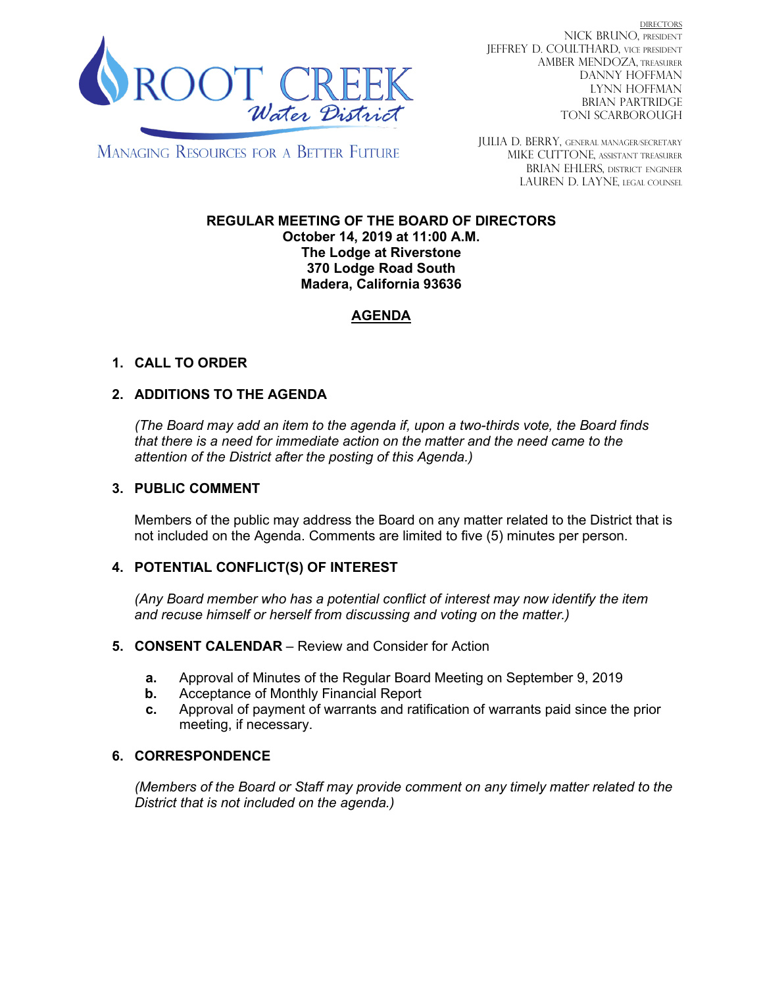

DIRECTORS NICK BRUNO, PRESIDENT JEFFREY D. COULTHARD, Vice President AMBER MENDOZA, TREASURER DANNY HOFFMAN LYNN HOFFMAN BRIAN PARTRIDGE TONI SCARBOROUGH

**MANAGING RESOURCES FOR A BETTER FUTURE** 

JULIA D. BERRY, GENERAL MANAGER/secretary MIKE CUTTONE, Assistant treasurer BRIAN EHLERS, DISTRICT ENGINEER LAUREN D. LAYNE, LEGAL COUNSEL

#### **REGULAR MEETING OF THE BOARD OF DIRECTORS October 14, 2019 at 11:00 A.M. The Lodge at Riverstone 370 Lodge Road South Madera, California 93636**

# **AGENDA**

# **1. CALL TO ORDER**

### **2. ADDITIONS TO THE AGENDA**

*(The Board may add an item to the agenda if, upon a two-thirds vote, the Board finds that there is a need for immediate action on the matter and the need came to the attention of the District after the posting of this Agenda.)*

#### **3. PUBLIC COMMENT**

Members of the public may address the Board on any matter related to the District that is not included on the Agenda. Comments are limited to five (5) minutes per person.

### **4. POTENTIAL CONFLICT(S) OF INTEREST**

*(Any Board member who has a potential conflict of interest may now identify the item and recuse himself or herself from discussing and voting on the matter.)*

#### **5. CONSENT CALENDAR** – Review and Consider for Action

- **a.** Approval of Minutes of the Regular Board Meeting on September 9, 2019
- **b.** Acceptance of Monthly Financial Report
- **c.** Approval of payment of warrants and ratification of warrants paid since the prior meeting, if necessary.

### **6. CORRESPONDENCE**

*(Members of the Board or Staff may provide comment on any timely matter related to the District that is not included on the agenda.)*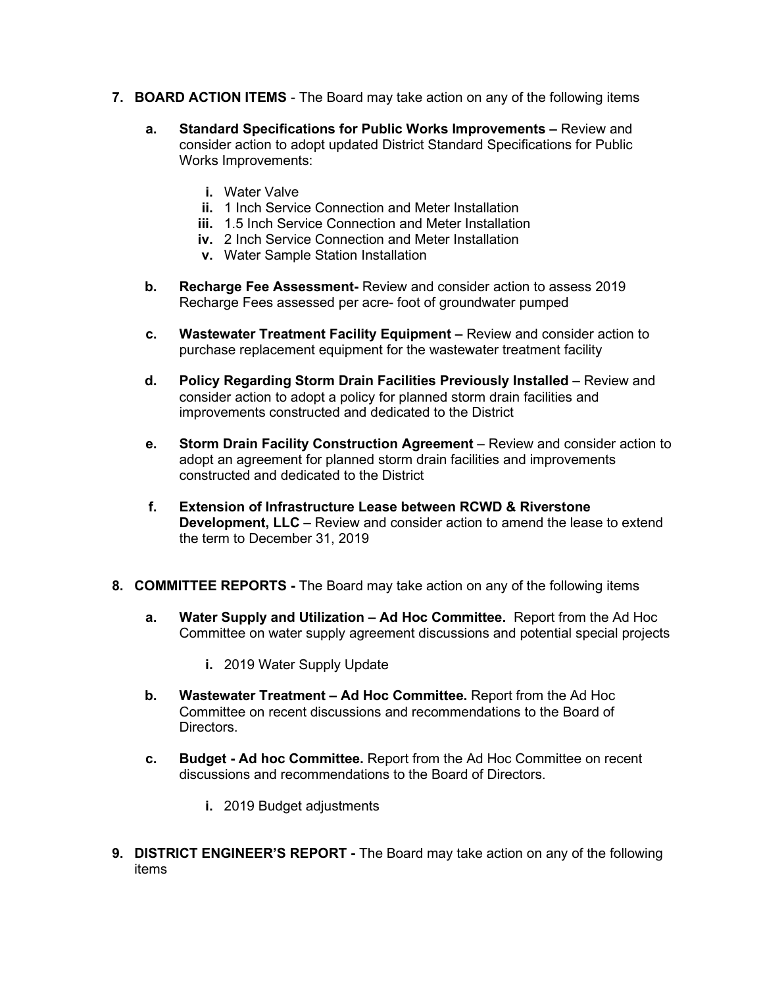- **7. BOARD ACTION ITEMS**  The Board may take action on any of the following items
	- **a. Standard Specifications for Public Works Improvements –** Review and consider action to adopt updated District Standard Specifications for Public Works Improvements:
		- **i.** Water Valve
		- **ii.** 1 Inch Service Connection and Meter Installation
		- **iii.** 1.5 Inch Service Connection and Meter Installation
		- **iv.** 2 Inch Service Connection and Meter Installation
		- **v.** Water Sample Station Installation
	- **b. Recharge Fee Assessment-** Review and consider action to assess 2019 Recharge Fees assessed per acre- foot of groundwater pumped
	- **c. Wastewater Treatment Facility Equipment –** Review and consider action to purchase replacement equipment for the wastewater treatment facility
	- **d. Policy Regarding Storm Drain Facilities Previously Installed** Review and consider action to adopt a policy for planned storm drain facilities and improvements constructed and dedicated to the District
	- **e. Storm Drain Facility Construction Agreement** Review and consider action to adopt an agreement for planned storm drain facilities and improvements constructed and dedicated to the District
	- **f. Extension of Infrastructure Lease between RCWD & Riverstone Development, LLC** – Review and consider action to amend the lease to extend the term to December 31, 2019
- **8. COMMITTEE REPORTS -** The Board may take action on any of the following items
	- **a. Water Supply and Utilization – Ad Hoc Committee.** Report from the Ad Hoc Committee on water supply agreement discussions and potential special projects
		- **i.** 2019 Water Supply Update
	- **b. Wastewater Treatment – Ad Hoc Committee.** Report from the Ad Hoc Committee on recent discussions and recommendations to the Board of Directors.
	- **c. Budget - Ad hoc Committee.** Report from the Ad Hoc Committee on recent discussions and recommendations to the Board of Directors.
		- **i.** 2019 Budget adjustments
- **9. DISTRICT ENGINEER'S REPORT -** The Board may take action on any of the following items